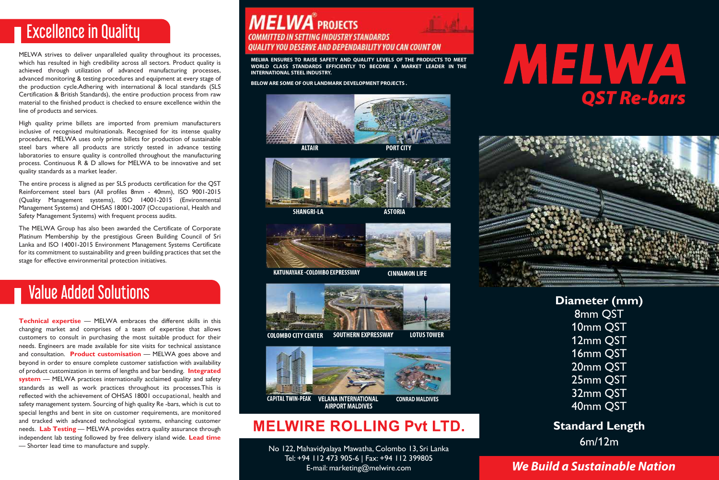## **Excellence in Quality**

MELWA strives to deliver unparalleled quality throughout its processes, which has resulted in high credibility across all sectors. Product quality is achieved through utilization of advanced manufacturing processes, advanced monitoring & testing procedures and equipment at every stage of the production cycle.Adhering with international & local standards (SLS Certification & British Standards), the entire production process from raw material to the finished product is checked to ensure excellence within the line of products and services.

High quality prime billets are imported from premium manufacturers inclusive of recognised multinationals. Recognised for its intense quality procedures, MELWA uses only prime billets for production of sustainable steel bars where all products are strictly tested in advance testing laboratories to ensure quality is controlled throughout the manufacturing process. Continuous R & D allows for MELWA to be innovative and set quality standards as a market leader.

The entire process is aligned as per SLS products certification for the QST Reinforcement steel bars (All profiles 8mm - 40mm), ISO 9001-2015 (Quality Management systems), ISO 14001-2015 (Environmental Management Systems) and OHSAS 18001-2007 (Occupational, Health and Safety Management Systems) with frequent process audits.

The MELWA Group has also been awarded the Certificate of Corporate Platinum Membership by the prestigious Green Building Council of Sri Lanka and ISO 14001-2015 Environment Management Systems Certificate for its commitment to sustainability and green building practices that set the stage for effective environmerital protection initiatives.

## **Value Added Solutions**

**Technical expertise** — MELWA embraces the different skills in this changing market and comprises of a team of expertise that allows customers to consult in purchasing the most suitable product for their needs. Engineers are made available for site visits for technical assistance and consultation. **Product customisation** — MELWA goes above and beyond in order to ensure complete customer satisfaction with availability of product customization in terms of lengths and bar bending. **Integrated system** — MELWA practices internationally acclaimed quality and safety standards as well as work practices throughout its processes.This is reflected with the achievement of OHSAS 18001 occupational, health and safety management system. Sourcing of high quality Re -bars, which is cut to special lengths and bent in site on customer requirements, are monitored and tracked with advanced technological systems, enhancing customer needs. **Lab Testing** — MELWA provides extra quality assurance through independent lab testing followed by free delivery island wide. **Lead time** — Shorter lead time to manufacture and supply.

#### **MELWA**<sup>®</sup> PROJECTS **COMMITTED IN SETTING INDUSTRY STANDARDS** OUALITY YOU DESERVE AND DEPENDABILITY YOU CAN COUNT ON

**MELWA ENSURES TO RAISE SAFETY AND QUALITY LEVELS OF THE PRODUCTS TO MEET WORLD CLASS STANDARDS EFFICIENTLY TO BECOME A MARKET LEADER IN THE INTERNATIONAL STEEL INDUSTRY.** 

**BELOW ARE SOME OF OUR LANDMARK DEVELOPMENT PROJECTS .** 





**KATUNAYAKE - COLOMBO EXPRESSWAY** 

**CINNAMON LIFE** 





### **MELWIRE ROLLING Pvt LTD.**

No 122, Mahavidyalaya Mawatha, Colombo 13, Sri Lanka Tel: +94 112 473 905-6 | Fax: +94 112 399805 E-mail: marketing@melwire.com

# AZ ELVAYA *QST Re-bars*



**Diameter (mm)** 8mm QST 10mm QST 12mm QST 16mm QST 20mm QST 25mm QST 32mm QST 40mm QST

#### **Standard Length** 6m/12m

#### *We Build a Sustainable Nation*